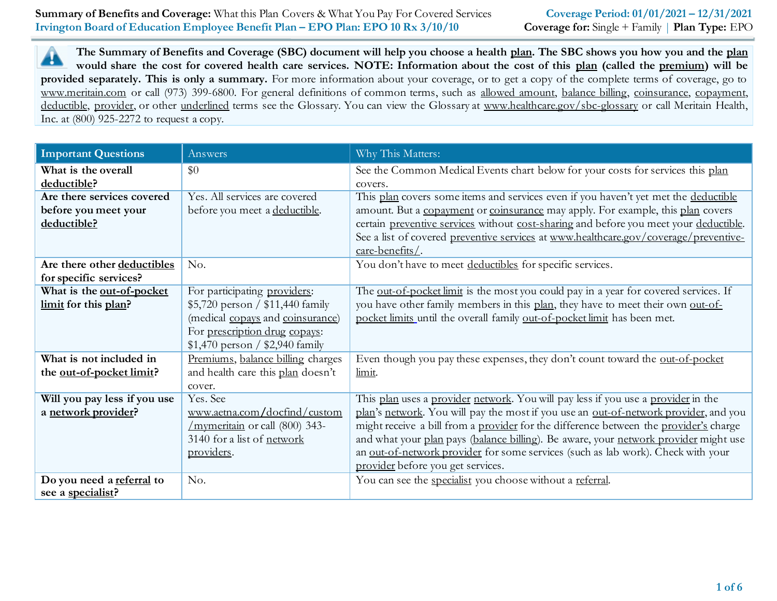**The Summary of Benefits and Coverage (SBC) document will help you choose a health plan. The SBC shows you how you and the plan** ▲ **would share the cost for covered health care services. NOTE: Information about the cost of this plan (called the premium) will be provided separately. This is only a summary.** For more information about your coverage, or to get a copy of the complete terms of coverage, go to www.meritain.com or call (973) 399-6800. For general definitions of common terms, such as allowed amount, balance billing, coinsurance, copayment, deductible, provider, or other underlined terms see the Glossary. You can view the Glossary at www.healthcare.gov/sbc-glossary or call Meritain Health, Inc. at (800) 925-2272 to request a copy.

| <b>Important Questions</b>   | Answers                           | Why This Matters:                                                                           |
|------------------------------|-----------------------------------|---------------------------------------------------------------------------------------------|
| What is the overall          | \$0                               | See the Common Medical Events chart below for your costs for services this plan             |
| deductible?                  |                                   | covers.                                                                                     |
| Are there services covered   | Yes. All services are covered     | This plan covers some items and services even if you haven't yet met the deductible         |
| before you meet your         | before you meet a deductible.     | amount. But a copayment or coinsurance may apply. For example, this plan covers             |
| deductible?                  |                                   | certain preventive services without cost-sharing and before you meet your deductible.       |
|                              |                                   | See a list of covered preventive services at www.healthcare.gov/coverage/preventive-        |
|                              |                                   | care-benefits/.                                                                             |
| Are there other deductibles  | No.                               | You don't have to meet deductibles for specific services.                                   |
| for specific services?       |                                   |                                                                                             |
| What is the out-of-pocket    | For participating providers:      | The <u>out-of-pocket limit</u> is the most you could pay in a year for covered services. If |
| limit for this plan?         | $$5,720$ person / \$11,440 family | you have other family members in this plan, they have to meet their own out-of-             |
|                              | (medical copays and coinsurance)  | pocket limits until the overall family out-of-pocket limit has been met.                    |
|                              | For prescription drug copays:     |                                                                                             |
|                              | $$1,470$ person / \$2,940 family  |                                                                                             |
| What is not included in      | Premiums, balance billing charges | Even though you pay these expenses, they don't count toward the out-of-pocket               |
| the out-of-pocket limit?     | and health care this plan doesn't | limit.                                                                                      |
|                              | cover.                            |                                                                                             |
| Will you pay less if you use | Yes. See                          | This plan uses a provider network. You will pay less if you use a provider in the           |
| a network provider?          | www.aetna.com/docfind/custom      | plan's network. You will pay the most if you use an out-of-network provider, and you        |
|                              | /mymeritain or call (800) 343-    | might receive a bill from a provider for the difference between the provider's charge       |
|                              | 3140 for a list of network        | and what your plan pays (balance billing). Be aware, your network provider might use        |
|                              | providers.                        | an out-of-network provider for some services (such as lab work). Check with your            |
|                              |                                   | provider before you get services.                                                           |
| Do you need a referral to    | No.                               | You can see the specialist you choose without a referral.                                   |
| see a specialist?            |                                   |                                                                                             |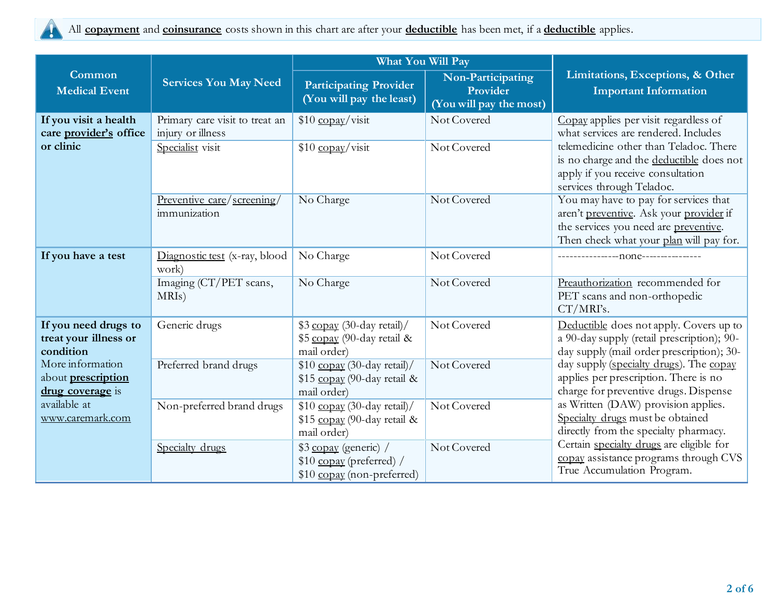

|                                                            |                                                     | What You Will Pay                                                                |                                                          |                                                                                                                                                                      |  |
|------------------------------------------------------------|-----------------------------------------------------|----------------------------------------------------------------------------------|----------------------------------------------------------|----------------------------------------------------------------------------------------------------------------------------------------------------------------------|--|
| Common<br><b>Medical Event</b>                             | <b>Services You May Need</b>                        | <b>Participating Provider</b><br>(You will pay the least)                        | Non-Participating<br>Provider<br>(You will pay the most) | Limitations, Exceptions, & Other<br><b>Important Information</b>                                                                                                     |  |
| If you visit a health<br>care provider's office            | Primary care visit to treat an<br>injury or illness | $$10$ copay/visit                                                                | Not Covered                                              | Copay applies per visit regardless of<br>what services are rendered. Includes                                                                                        |  |
| or clinic                                                  | Specialist visit                                    | $$10$ copay/visit                                                                | Not Covered                                              | telemedicine other than Teladoc. There<br>is no charge and the deductible does not<br>apply if you receive consultation<br>services through Teladoc.                 |  |
|                                                            | Preventive care/screening/<br>immunization          | No Charge                                                                        | Not Covered                                              | You may have to pay for services that<br>aren't preventive. Ask your provider if<br>the services you need are preventive.<br>Then check what your plan will pay for. |  |
| If you have a test                                         | Diagnostic test (x-ray, blood<br>work)              | No Charge                                                                        | Not Covered                                              |                                                                                                                                                                      |  |
|                                                            | Imaging (CT/PET scans,<br>MRIs)                     | No Charge                                                                        | Not Covered                                              | Preauthorization recommended for<br>PET scans and non-orthopedic<br>CT/MRI's.                                                                                        |  |
| If you need drugs to<br>treat your illness or<br>condition | Generic drugs                                       | \$3 copay (30-day retail)/<br>\$5 copay (90-day retail &<br>mail order)          | Not Covered                                              | Deductible does not apply. Covers up to<br>a 90-day supply (retail prescription); 90-<br>day supply (mail order prescription); 30-                                   |  |
| More information<br>about prescription<br>drug coverage is | Preferred brand drugs                               | $$10$ copay (30-day retail)/<br>\$15 copay (90-day retail &<br>mail order)       | Not Covered                                              | day supply (specialty drugs). The copay<br>applies per prescription. There is no<br>charge for preventive drugs. Dispense                                            |  |
| available at<br>www.caremark.com                           | Non-preferred brand drugs                           | \$10 copay (30-day retail)/<br>\$15 copay (90-day retail &<br>mail order)        | Not Covered                                              | as Written (DAW) provision applies.<br>Specialty drugs must be obtained<br>directly from the specialty pharmacy.                                                     |  |
|                                                            | Specialty drugs                                     | \$3 copay (generic) /<br>$$10$ copay (preferred) /<br>\$10 copay (non-preferred) | Not Covered                                              | Certain specialty drugs are eligible for<br>copay assistance programs through CVS<br>True Accumulation Program.                                                      |  |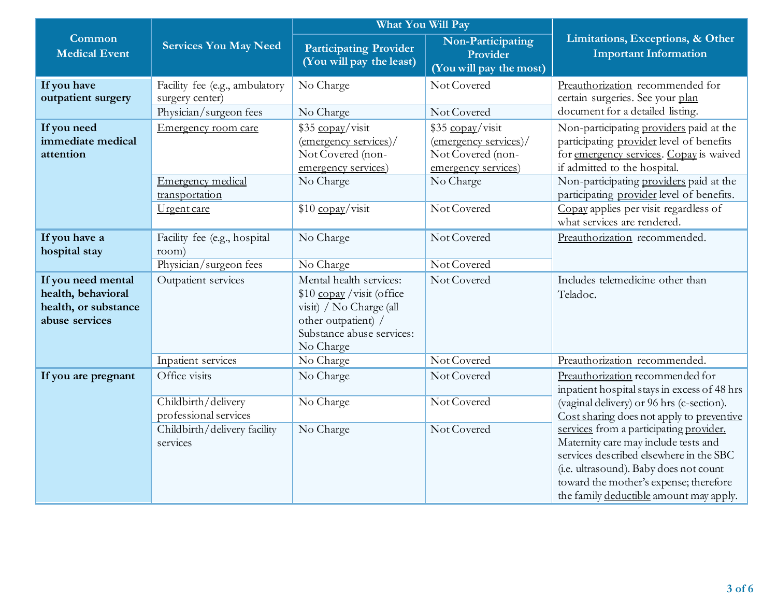|                                                                                    |                                                                             | <b>What You Will Pay</b>                                                                                                                            |                                                                                       |                                                                                                                                                                                                                                                           |  |
|------------------------------------------------------------------------------------|-----------------------------------------------------------------------------|-----------------------------------------------------------------------------------------------------------------------------------------------------|---------------------------------------------------------------------------------------|-----------------------------------------------------------------------------------------------------------------------------------------------------------------------------------------------------------------------------------------------------------|--|
| Common<br><b>Medical Event</b>                                                     | <b>Services You May Need</b>                                                | <b>Participating Provider</b><br>(You will pay the least)                                                                                           | Non-Participating<br>Provider<br>(You will pay the most)                              | Limitations, Exceptions, & Other<br><b>Important Information</b>                                                                                                                                                                                          |  |
| If you have<br>outpatient surgery                                                  | Facility fee (e.g., ambulatory<br>surgery center)<br>Physician/surgeon fees | No Charge<br>No Charge                                                                                                                              | Not Covered<br>Not Covered                                                            | Preauthorization recommended for<br>certain surgeries. See your plan<br>document for a detailed listing.                                                                                                                                                  |  |
| If you need<br>immediate medical<br>attention                                      | Emergency room care                                                         | \$35 copay/visit<br>$\frac{1}{2}$ (emergency services)/<br>Not Covered (non-<br>emergency services)                                                 | \$35 copay/visit<br>(emergency services)/<br>Not Covered (non-<br>emergency services) | Non-participating providers paid at the<br>participating provider level of benefits<br>for emergency services. Copay is waived<br>if admitted to the hospital.                                                                                            |  |
|                                                                                    | Emergency medical<br>transportation                                         | No Charge                                                                                                                                           | No Charge                                                                             | Non-participating providers paid at the<br>participating provider level of benefits.                                                                                                                                                                      |  |
|                                                                                    | Urgent care                                                                 | \$10 copay/visit                                                                                                                                    | Not Covered                                                                           | Copay applies per visit regardless of<br>what services are rendered.                                                                                                                                                                                      |  |
| If you have a<br>hospital stay                                                     | Facility fee (e.g., hospital<br>room)<br>Physician/surgeon fees             | No Charge<br>No Charge                                                                                                                              | Not Covered<br>Not Covered                                                            | Preauthorization recommended.                                                                                                                                                                                                                             |  |
| If you need mental<br>health, behavioral<br>health, or substance<br>abuse services | Outpatient services                                                         | Mental health services:<br>$$10$ copay / visit (office)<br>visit) / No Charge (all<br>other outpatient) /<br>Substance abuse services:<br>No Charge | Not Covered                                                                           | Includes telemedicine other than<br>Teladoc.                                                                                                                                                                                                              |  |
|                                                                                    | Inpatient services                                                          | No Charge                                                                                                                                           | Not Covered                                                                           | Preauthorization recommended.                                                                                                                                                                                                                             |  |
| If you are pregnant                                                                | Office visits                                                               | No Charge                                                                                                                                           | Not Covered                                                                           | Preauthorization recommended for<br>inpatient hospital stays in excess of 48 hrs                                                                                                                                                                          |  |
|                                                                                    | Childbirth/delivery<br>professional services                                | No Charge                                                                                                                                           | Not Covered                                                                           | (vaginal delivery) or 96 hrs (c-section).<br>Cost sharing does not apply to preventive                                                                                                                                                                    |  |
|                                                                                    | Childbirth/delivery facility<br>services                                    | No Charge                                                                                                                                           | Not Covered                                                                           | services from a participating provider.<br>Maternity care may include tests and<br>services described elsewhere in the SBC<br>(i.e. ultrasound). Baby does not count<br>toward the mother's expense; therefore<br>the family deductible amount may apply. |  |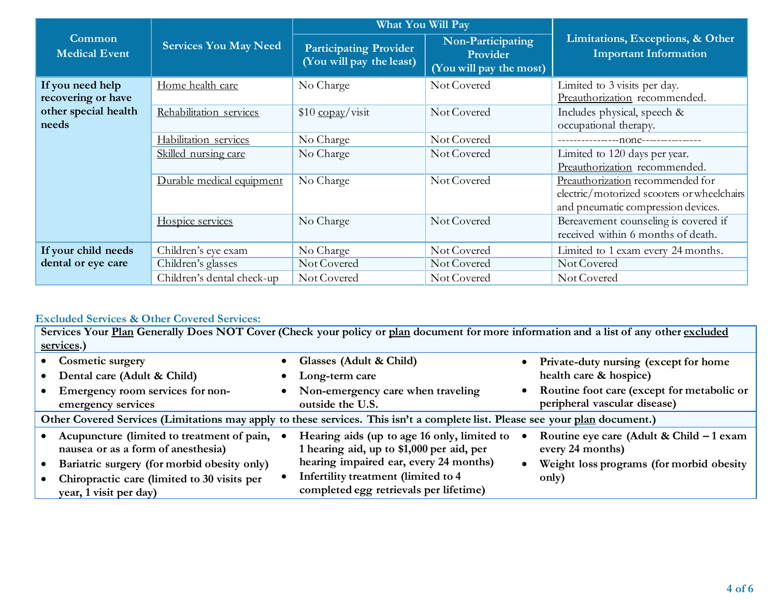|                                        |                              | <b>What You Will Pay</b>                                  |                                                          |                                                                            |  |
|----------------------------------------|------------------------------|-----------------------------------------------------------|----------------------------------------------------------|----------------------------------------------------------------------------|--|
| <b>Common</b><br><b>Medical Event</b>  | <b>Services You May Need</b> | <b>Participating Provider</b><br>(You will pay the least) | Non-Participating<br>Provider<br>(You will pay the most) | Limitations, Exceptions, & Other<br><b>Important Information</b>           |  |
| If you need help<br>recovering or have | Home health care             | No Charge                                                 | Not Covered                                              | Limited to 3 visits per day.<br>Preauthorization recommended.              |  |
| other special health<br>needs          | Rehabilitation services      | $$10 \frac{\text{copay}}{\text{visit}}$                   | Not Covered                                              | Includes physical, speech &<br>occupational therapy.                       |  |
|                                        | Habilitation services        | No Charge                                                 | Not Covered                                              |                                                                            |  |
|                                        | Skilled nursing care         | No Charge                                                 | Not Covered                                              | Limited to 120 days per year.                                              |  |
|                                        |                              |                                                           |                                                          | Preauthorization recommended.                                              |  |
|                                        | Durable medical equipment    | No Charge                                                 | Not Covered                                              | Preauthorization recommended for                                           |  |
|                                        |                              |                                                           |                                                          | electric/motorized scooters or wheelchairs                                 |  |
|                                        |                              |                                                           |                                                          | and pneumatic compression devices.                                         |  |
|                                        | Hospice services             | No Charge                                                 | Not Covered                                              | Bereavement counseling is covered if<br>received within 6 months of death. |  |
| If your child needs                    | Children's eye exam          | No Charge                                                 | Not Covered                                              | Limited to 1 exam every 24 months.                                         |  |
| dental or eye care                     | Children's glasses           | Not Covered                                               | Not Covered                                              | Not Covered                                                                |  |
|                                        | Children's dental check-up   | Not Covered                                               | Not Covered                                              | Not Covered                                                                |  |

# **Excluded Services & Other Covered Services:**

| Services Your Plan Generally Does NOT Cover (Check your policy or plan document for more information and a list of any other excluded |           |                                             |           |                                            |  |
|---------------------------------------------------------------------------------------------------------------------------------------|-----------|---------------------------------------------|-----------|--------------------------------------------|--|
| services.)                                                                                                                            |           |                                             |           |                                            |  |
| <b>Cosmetic surgery</b>                                                                                                               |           | Glasses (Adult & Child)                     |           | Private-duty nursing (except for home      |  |
| Dental care (Adult & Child)                                                                                                           | $\bullet$ | Long-term care                              |           | health care & hospice)                     |  |
| Emergency room services for non-                                                                                                      |           | Non-emergency care when traveling           | $\bullet$ | Routine foot care (except for metabolic or |  |
| emergency services                                                                                                                    |           | outside the U.S.                            |           | peripheral vascular disease)               |  |
| Other Covered Services (Limitations may apply to these services. This isn't a complete list. Please see your plan document.)          |           |                                             |           |                                            |  |
| Acupuncture (limited to treatment of pain,                                                                                            |           | Hearing aids (up to age 16 only, limited to |           | Routine eye care (Adult & Child $-1$ exam  |  |
| nausea or as a form of anesthesia)                                                                                                    |           | 1 hearing aid, up to \$1,000 per aid, per   |           | every 24 months)                           |  |
| Bariatric surgery (for morbid obesity only)                                                                                           |           | hearing impaired ear, every 24 months)      |           | Weight loss programs (for morbid obesity   |  |
| Chiropractic care (limited to 30 visits per                                                                                           |           | Infertility treatment (limited to 4         |           | only)                                      |  |
| year, 1 visit per day)                                                                                                                |           | completed egg retrievals per lifetime)      |           |                                            |  |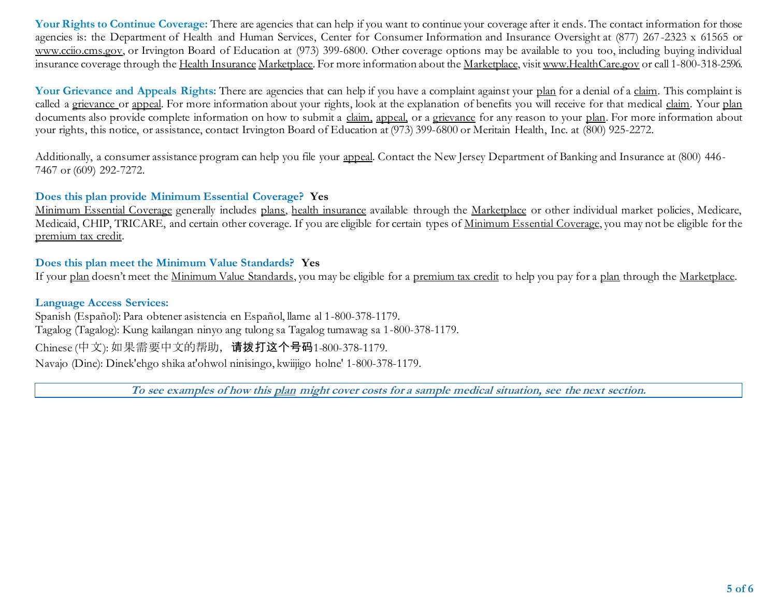Your Rights to Continue Coverage: There are agencies that can help if you want to continue your coverage after it ends. The contact information for those agencies is: the Department of Health and Human Services, Center for Consumer Information and Insurance Oversight at (877) 267-2323 x 61565 or www.cciio.cms.gov, or Irvington Board of Education at (973) 399-6800. Other coverage options may be available to you too, including buying individual insurance coverage through the Health Insurance Marketplace. For more information about the Marketplace, visi[t www.HealthCare.gov](http://www.healthcare.gov/) or call 1-800-318-2596.

Your Grievance and Appeals Rights: There are agencies that can help if you have a complaint against your plan for a denial of a claim. This complaint is called a grievance or appeal. For more information about your rights, look at the explanation of benefits you will receive for that medical claim. Your plan documents also provide complete information on how to submit a claim, appeal, or a grievance for any reason to your plan. For more information about your rights, this notice, or assistance, contact Irvington Board of Education at (973) 399-6800 or Meritain Health, Inc. at (800) 925-2272.

Additionally, a consumer assistance program can help you file your appeal. Contact the New Jersey Department of Banking and Insurance at (800) 446-7467 or (609) 292-7272.

## **Does this plan provide Minimum Essential Coverage? Yes**

Minimum Essential Coverage generally includes plans, health insurance available through the Marketplace or other individual market policies, Medicare, Medicaid, CHIP, TRICARE, and certain other coverage. If you are eligible for certain types of Minimum Essential Coverage, you may not be eligible for the premium tax credit.

## **Does this plan meet the Minimum Value Standards? Yes**

If your plan doesn't meet the Minimum Value Standards, you may be eligible for a premium tax credit to help you pay for a plan through the Marketplace.

#### **Language Access Services:**

Spanish (Español): Para obtener asistencia en Español, llame al 1-800-378-1179. Tagalog (Tagalog): Kung kailangan ninyo ang tulong sa Tagalog tumawag sa 1-800-378-1179. Chinese (中文): 如果需要中文的帮助,请拨打这个号码1-800-378-1179. Navajo (Dine): Dinek'ehgo shika at'ohwol ninisingo, kwiijigo holne' 1-800-378-1179.

**To see examples of how this plan might cover costs for a sample medical situation, see the next section.**